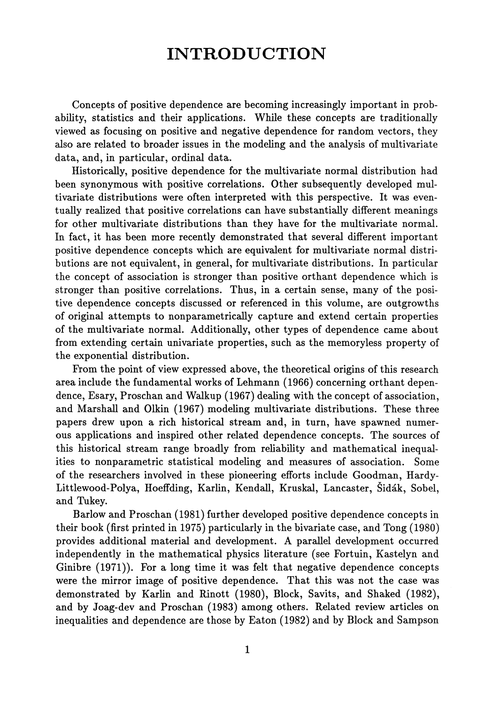## **INTRODUCTION**

Concepts of positive dependence are becoming increasingly important in probability, statistics and their applications. While these concepts are traditionally viewed as focusing on positive and negative dependence for random vectors, they also are related to broader issues in the modeling and the analysis of multivariate data, and, in particular, ordinal data.

Historically, positive dependence for the multivariate normal distribution had been synonymous with positive correlations. Other subsequently developed multivariate distributions were often interpreted with this perspective. It was eventually realized that positive correlations can have substantially different meanings for other multivariate distributions than they have for the multivariate normal. In fact, it has been more recently demonstrated that several different important positive dependence concepts which are equivalent for multivariate normal distributions are not equivalent, in general, for multivariate distributions. In particular the concept of association is stronger than positive orthant dependence which is stronger than positive correlations. Thus, in a certain sense, many of the positive dependence concepts discussed or referenced in this volume, are outgrowths of original attempts to nonparametricaHy capture and extend certain properties of the multivariate normal. Additionally, other types of dependence came about from extending certain univariate properties, such as the memoryless property of the exponential distribution.

From the point of view expressed above, the theoretical origins of this research area include the fundamental works of Lehmann (1966) concerning orthant dependence, Esary, Proschan and Walkup (1967) dealing with the concept of association, and Marshall and Olkin (1967) modeling multivariate distributions. These three papers drew upon a rich historical stream and, in turn, have spawned numerous applications and inspired other related dependence concepts. The sources of this historical stream range broadly from reliability and mathematical inequalities to nonparametric statistical modeling and measures of association. Some of the researchers involved in these pioneering efforts include Goodman, Hardy-Littlewood-Polya, Hoeffding, Karlin, Kendall, Kruskal, Lancaster, Sidak, Sobel, and Tukey.

Barlow and Proschan (1981) further developed positive dependence concepts in their book (first printed in 1975) particularly in the bivariate case, and Tong (1980) provides additional material and development. A parallel development occurred independently in the mathematical physics literature (see Fortuin, Kastelyn and Ginibre (1971)). For a long time it was felt that negative dependence concepts were the mirror image of positive dependence. That this was not the case was demonstrated by Karlin and Rinott (1980), Block, Savits, and Shaked (1982), and by Joag-dev and Proschan (1983) among others. Related review articles on inequalities and dependence are those by Eaton (1982) and by Block and Sampson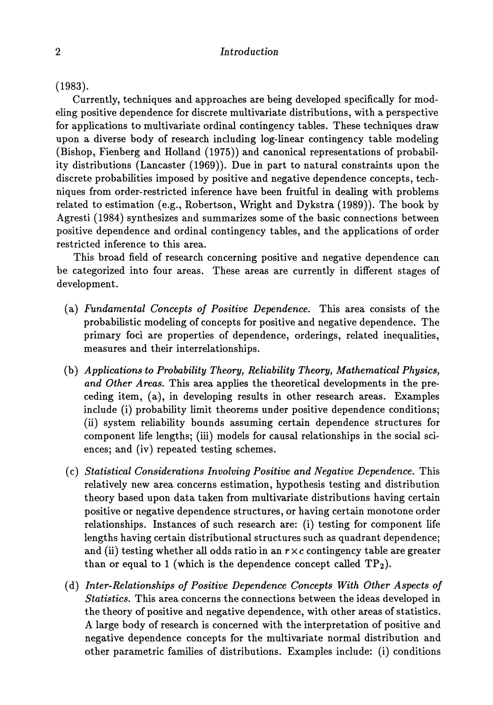## 2 *Introduction*

(1983).

Currently, techniques and approaches are being developed specifically for modeling positive dependence for discrete multivariate distributions, with a perspective for applications to multivariate ordinal contingency tables. These techniques draw upon a diverse body of research including log-linear contingency table modeling (Bishop, Fienberg and Holland (1975)) and canonical representations of probability distributions (Lancaster (1969)). Due in part to natural constraints upon the discrete probabilities imposed by positive and negative dependence concepts, techniques from order-restricted inference have been fruitful in dealing with problems related to estimation (e.g., Robertson, Wright and Dykstra (1989)). The book by Agresti (1984) synthesizes and summarizes some of the basic connections between positive dependence and ordinal contingency tables, and the applications of order restricted inference to this area.

This broad field of research concerning positive and negative dependence can be categorized into four areas. These areas are currently in different stages of development.

- (a) *Fundamental Concepts of Positive Dependence.* This area consists of the probabilistic modeling of concepts for positive and negative dependence. The primary foci are properties of dependence, orderings, related inequalities, measures and their interrelationships.
- (b) *Applications to Probability Theory, Reliability Theory, Mathematical Physics, and Other Areas.* This area applies the theoretical developments in the preceding item, (a), in developing results in other research areas. Examples include (i) probability limit theorems under positive dependence conditions; (ii) system reliability bounds assuming certain dependence structures for component life lengths; (iii) models for causal relationships in the social sciences; and (iv) repeated testing schemes.
- (c) *Statistical Considerations Involving Positive and Negative Dependence.* This relatively new area concerns estimation, hypothesis testing and distribution theory based upon data taken from multivariate distributions having certain positive or negative dependence structures, or having certain monotone order relationships. Instances of such research are: (i) testing for component life lengths having certain distributional structures such as quadrant dependence; and (ii) testing whether all odds ratio in an  $r \times c$  contingency table are greater than or equal to 1 (which is the dependence concept called  $TP<sub>2</sub>$ ).
- (d) *Inter-Relationships of Positive Dependence Concepts With Other Aspects of Statistics.* This area concerns the connections between the ideas developed in the theory of positive and negative dependence, with other areas of statistics. A large body of research is concerned with the interpretation of positive and negative dependence concepts for the multivariate normal distribution and other parametric families of distributions. Examples include: (i) conditions